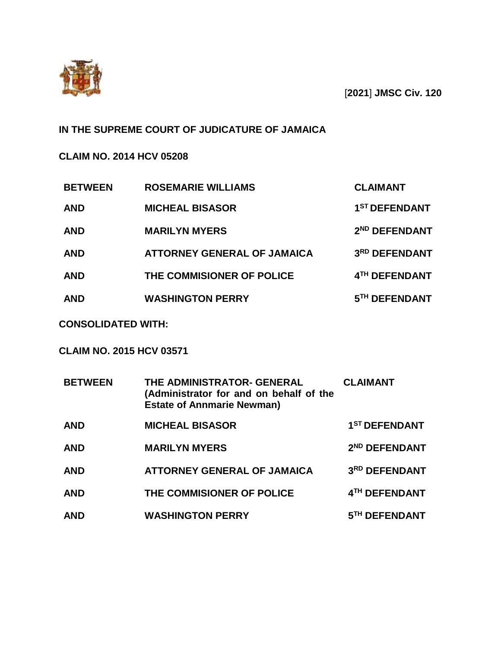

[**2021**] **JMSC Civ. 120**

# **IN THE SUPREME COURT OF JUDICATURE OF JAMAICA**

# **CLAIM NO. 2014 HCV 05208**

| <b>BETWEEN</b> | <b>ROSEMARIE WILLIAMS</b>          | <b>CLAIMANT</b>           |
|----------------|------------------------------------|---------------------------|
| <b>AND</b>     | <b>MICHEAL BISASOR</b>             | 1 <sup>ST</sup> DEFENDANT |
| <b>AND</b>     | <b>MARILYN MYERS</b>               | 2 <sup>ND</sup> DEFENDANT |
| <b>AND</b>     | <b>ATTORNEY GENERAL OF JAMAICA</b> | 3RD DEFENDANT             |
| <b>AND</b>     | THE COMMISIONER OF POLICE          | 4TH DEFENDANT             |
| <b>AND</b>     | <b>WASHINGTON PERRY</b>            | 5TH DEFENDANT             |

# **CONSOLIDATED WITH:**

# **CLAIM NO. 2015 HCV 03571**

| <b>BETWEEN</b> | THE ADMINISTRATOR- GENERAL<br>(Administrator for and on behalf of the<br><b>Estate of Annmarie Newman)</b> | <b>CLAIMANT</b>           |
|----------------|------------------------------------------------------------------------------------------------------------|---------------------------|
| <b>AND</b>     | <b>MICHEAL BISASOR</b>                                                                                     | 1 <sup>ST</sup> DEFENDANT |
| <b>AND</b>     | <b>MARILYN MYERS</b>                                                                                       | 2 <sup>ND</sup> DEFENDANT |
| <b>AND</b>     | <b>ATTORNEY GENERAL OF JAMAICA</b>                                                                         | 3RD DEFENDANT             |
| <b>AND</b>     | THE COMMISIONER OF POLICE                                                                                  | 4TH DEFENDANT             |
| <b>AND</b>     | <b>WASHINGTON PERRY</b>                                                                                    | 5TH DEFENDANT             |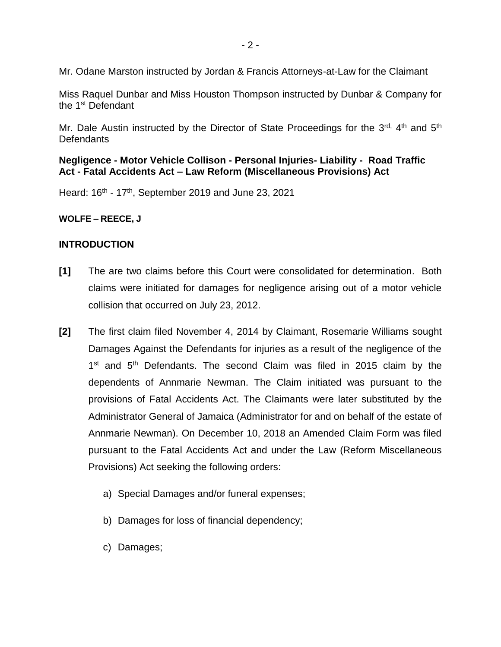Mr. Odane Marston instructed by Jordan & Francis Attorneys-at-Law for the Claimant

Miss Raquel Dunbar and Miss Houston Thompson instructed by Dunbar & Company for the 1st Defendant

Mr. Dale Austin instructed by the Director of State Proceedings for the 3<sup>rd, 4th</sup> and 5<sup>th</sup> **Defendants** 

# **Negligence - Motor Vehicle Collison - Personal Injuries- Liability - Road Traffic Act - Fatal Accidents Act – Law Reform (Miscellaneous Provisions) Act**

Heard: 16<sup>th</sup> - 17<sup>th</sup>, September 2019 and June 23, 2021

**WOLFE – REECE, J**

### **INTRODUCTION**

- **[1]** The are two claims before this Court were consolidated for determination. Both claims were initiated for damages for negligence arising out of a motor vehicle collision that occurred on July 23, 2012.
- **[2]** The first claim filed November 4, 2014 by Claimant, Rosemarie Williams sought Damages Against the Defendants for injuries as a result of the negligence of the 1<sup>st</sup> and 5<sup>th</sup> Defendants. The second Claim was filed in 2015 claim by the dependents of Annmarie Newman. The Claim initiated was pursuant to the provisions of Fatal Accidents Act. The Claimants were later substituted by the Administrator General of Jamaica (Administrator for and on behalf of the estate of Annmarie Newman). On December 10, 2018 an Amended Claim Form was filed pursuant to the Fatal Accidents Act and under the Law (Reform Miscellaneous Provisions) Act seeking the following orders:
	- a) Special Damages and/or funeral expenses;
	- b) Damages for loss of financial dependency;
	- c) Damages;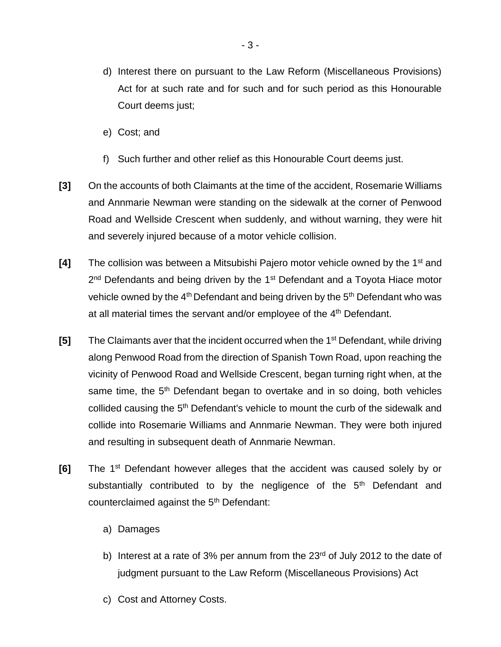- d) Interest there on pursuant to the Law Reform (Miscellaneous Provisions) Act for at such rate and for such and for such period as this Honourable Court deems just;
- e) Cost; and
- f) Such further and other relief as this Honourable Court deems just.
- **[3]** On the accounts of both Claimants at the time of the accident, Rosemarie Williams and Annmarie Newman were standing on the sidewalk at the corner of Penwood Road and Wellside Crescent when suddenly, and without warning, they were hit and severely injured because of a motor vehicle collision.
- **[4]** The collision was between a Mitsubishi Pajero motor vehicle owned by the 1<sup>st</sup> and 2<sup>nd</sup> Defendants and being driven by the 1<sup>st</sup> Defendant and a Toyota Hiace motor vehicle owned by the  $4<sup>th</sup>$  Defendant and being driven by the  $5<sup>th</sup>$  Defendant who was at all material times the servant and/or employee of the 4<sup>th</sup> Defendant.
- **[5]** The Claimants aver that the incident occurred when the 1<sup>st</sup> Defendant, while driving along Penwood Road from the direction of Spanish Town Road, upon reaching the vicinity of Penwood Road and Wellside Crescent, began turning right when, at the same time, the  $5<sup>th</sup>$  Defendant began to overtake and in so doing, both vehicles collided causing the 5<sup>th</sup> Defendant's vehicle to mount the curb of the sidewalk and collide into Rosemarie Williams and Annmarie Newman. They were both injured and resulting in subsequent death of Annmarie Newman.
- **[6]** The 1<sup>st</sup> Defendant however alleges that the accident was caused solely by or substantially contributed to by the negligence of the 5<sup>th</sup> Defendant and counterclaimed against the 5<sup>th</sup> Defendant:
	- a) Damages
	- b) Interest at a rate of 3% per annum from the  $23<sup>rd</sup>$  of July 2012 to the date of judgment pursuant to the Law Reform (Miscellaneous Provisions) Act
	- c) Cost and Attorney Costs.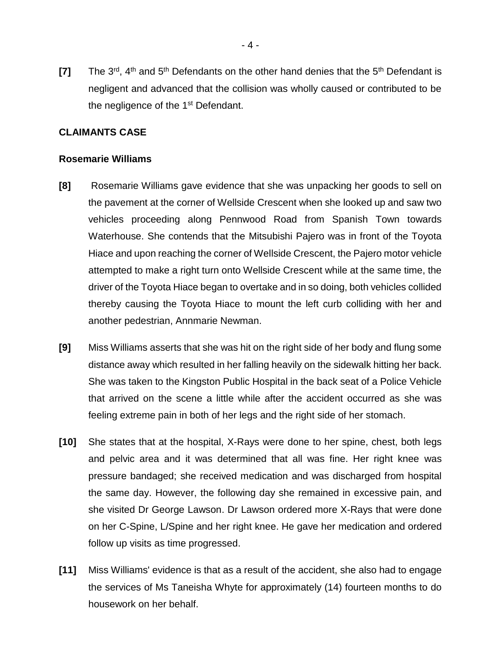**[7]** The 3<sup>rd</sup>, 4<sup>th</sup> and 5<sup>th</sup> Defendants on the other hand denies that the 5<sup>th</sup> Defendant is negligent and advanced that the collision was wholly caused or contributed to be the negligence of the 1<sup>st</sup> Defendant.

### **CLAIMANTS CASE**

#### **Rosemarie Williams**

- **[8]** Rosemarie Williams gave evidence that she was unpacking her goods to sell on the pavement at the corner of Wellside Crescent when she looked up and saw two vehicles proceeding along Pennwood Road from Spanish Town towards Waterhouse. She contends that the Mitsubishi Pajero was in front of the Toyota Hiace and upon reaching the corner of Wellside Crescent, the Pajero motor vehicle attempted to make a right turn onto Wellside Crescent while at the same time, the driver of the Toyota Hiace began to overtake and in so doing, both vehicles collided thereby causing the Toyota Hiace to mount the left curb colliding with her and another pedestrian, Annmarie Newman.
- **[9]** Miss Williams asserts that she was hit on the right side of her body and flung some distance away which resulted in her falling heavily on the sidewalk hitting her back. She was taken to the Kingston Public Hospital in the back seat of a Police Vehicle that arrived on the scene a little while after the accident occurred as she was feeling extreme pain in both of her legs and the right side of her stomach.
- **[10]** She states that at the hospital, X-Rays were done to her spine, chest, both legs and pelvic area and it was determined that all was fine. Her right knee was pressure bandaged; she received medication and was discharged from hospital the same day. However, the following day she remained in excessive pain, and she visited Dr George Lawson. Dr Lawson ordered more X-Rays that were done on her C-Spine, L/Spine and her right knee. He gave her medication and ordered follow up visits as time progressed.
- **[11]** Miss Williams' evidence is that as a result of the accident, she also had to engage the services of Ms Taneisha Whyte for approximately (14) fourteen months to do housework on her behalf.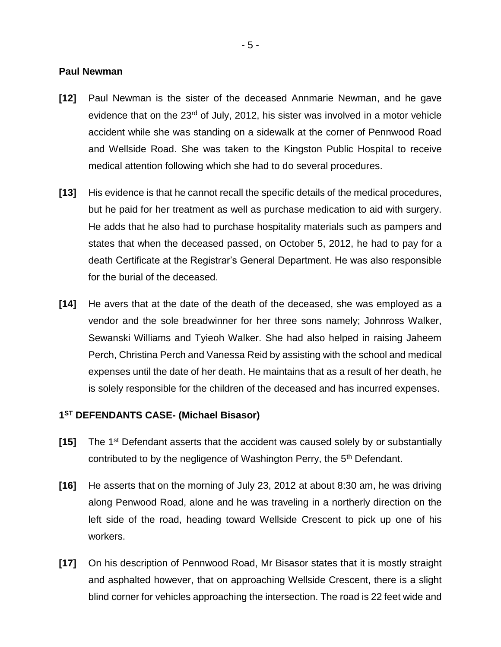#### **Paul Newman**

- **[12]** Paul Newman is the sister of the deceased Annmarie Newman, and he gave evidence that on the 23<sup>rd</sup> of July, 2012, his sister was involved in a motor vehicle accident while she was standing on a sidewalk at the corner of Pennwood Road and Wellside Road. She was taken to the Kingston Public Hospital to receive medical attention following which she had to do several procedures.
- **[13]** His evidence is that he cannot recall the specific details of the medical procedures, but he paid for her treatment as well as purchase medication to aid with surgery. He adds that he also had to purchase hospitality materials such as pampers and states that when the deceased passed, on October 5, 2012, he had to pay for a death Certificate at the Registrar's General Department. He was also responsible for the burial of the deceased.
- **[14]** He avers that at the date of the death of the deceased, she was employed as a vendor and the sole breadwinner for her three sons namely; Johnross Walker, Sewanski Williams and Tyieoh Walker. She had also helped in raising Jaheem Perch, Christina Perch and Vanessa Reid by assisting with the school and medical expenses until the date of her death. He maintains that as a result of her death, he is solely responsible for the children of the deceased and has incurred expenses.

#### **1 ST DEFENDANTS CASE- (Michael Bisasor)**

- **[15]** The 1st Defendant asserts that the accident was caused solely by or substantially contributed to by the negligence of Washington Perry, the 5<sup>th</sup> Defendant.
- **[16]** He asserts that on the morning of July 23, 2012 at about 8:30 am, he was driving along Penwood Road, alone and he was traveling in a northerly direction on the left side of the road, heading toward Wellside Crescent to pick up one of his workers.
- **[17]** On his description of Pennwood Road, Mr Bisasor states that it is mostly straight and asphalted however, that on approaching Wellside Crescent, there is a slight blind corner for vehicles approaching the intersection. The road is 22 feet wide and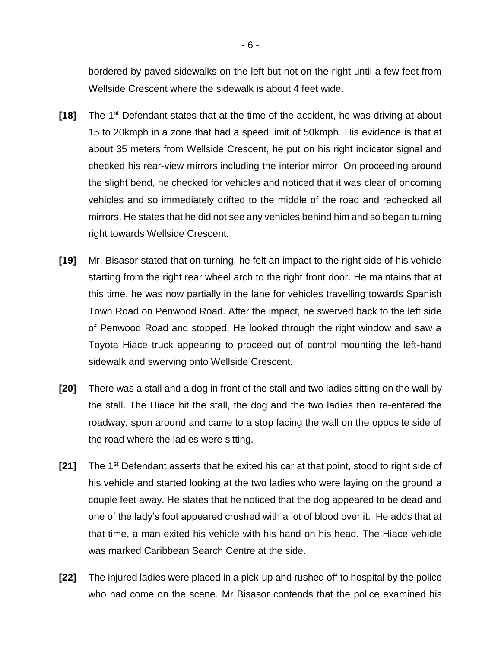bordered by paved sidewalks on the left but not on the right until a few feet from Wellside Crescent where the sidewalk is about 4 feet wide.

- [18] The 1<sup>st</sup> Defendant states that at the time of the accident, he was driving at about 15 to 20kmph in a zone that had a speed limit of 50kmph. His evidence is that at about 35 meters from Wellside Crescent, he put on his right indicator signal and checked his rear-view mirrors including the interior mirror. On proceeding around the slight bend, he checked for vehicles and noticed that it was clear of oncoming vehicles and so immediately drifted to the middle of the road and rechecked all mirrors. He states that he did not see any vehicles behind him and so began turning right towards Wellside Crescent.
- **[19]** Mr. Bisasor stated that on turning, he felt an impact to the right side of his vehicle starting from the right rear wheel arch to the right front door. He maintains that at this time, he was now partially in the lane for vehicles travelling towards Spanish Town Road on Penwood Road. After the impact, he swerved back to the left side of Penwood Road and stopped. He looked through the right window and saw a Toyota Hiace truck appearing to proceed out of control mounting the left-hand sidewalk and swerving onto Wellside Crescent.
- **[20]** There was a stall and a dog in front of the stall and two ladies sitting on the wall by the stall. The Hiace hit the stall, the dog and the two ladies then re-entered the roadway, spun around and came to a stop facing the wall on the opposite side of the road where the ladies were sitting.
- **[21]** The 1st Defendant asserts that he exited his car at that point, stood to right side of his vehicle and started looking at the two ladies who were laying on the ground a couple feet away. He states that he noticed that the dog appeared to be dead and one of the lady's foot appeared crushed with a lot of blood over it. He adds that at that time, a man exited his vehicle with his hand on his head. The Hiace vehicle was marked Caribbean Search Centre at the side.
- **[22]** The injured ladies were placed in a pick-up and rushed off to hospital by the police who had come on the scene. Mr Bisasor contends that the police examined his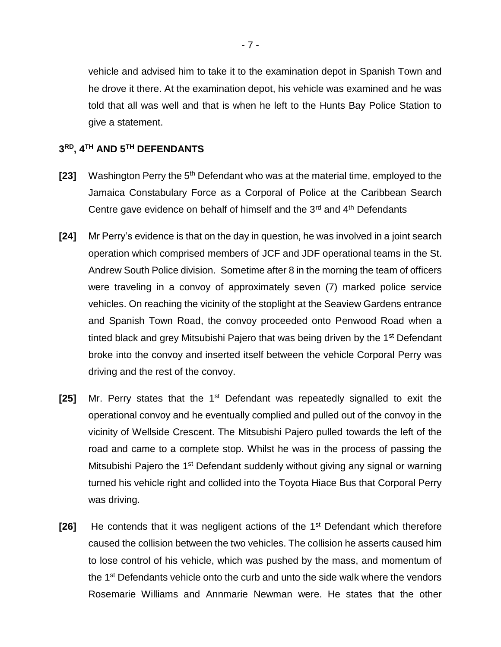vehicle and advised him to take it to the examination depot in Spanish Town and he drove it there. At the examination depot, his vehicle was examined and he was told that all was well and that is when he left to the Hunts Bay Police Station to give a statement.

#### **3 RD, 4 TH AND 5TH DEFENDANTS**

- **[23]** Washington Perry the 5<sup>th</sup> Defendant who was at the material time, employed to the Jamaica Constabulary Force as a Corporal of Police at the Caribbean Search Centre gave evidence on behalf of himself and the 3<sup>rd</sup> and 4<sup>th</sup> Defendants
- **[24]** Mr Perry's evidence is that on the day in question, he was involved in a joint search operation which comprised members of JCF and JDF operational teams in the St. Andrew South Police division. Sometime after 8 in the morning the team of officers were traveling in a convoy of approximately seven (7) marked police service vehicles. On reaching the vicinity of the stoplight at the Seaview Gardens entrance and Spanish Town Road, the convoy proceeded onto Penwood Road when a tinted black and grey Mitsubishi Pajero that was being driven by the 1<sup>st</sup> Defendant broke into the convoy and inserted itself between the vehicle Corporal Perry was driving and the rest of the convoy.
- **[25]** Mr. Perry states that the 1<sup>st</sup> Defendant was repeatedly signalled to exit the operational convoy and he eventually complied and pulled out of the convoy in the vicinity of Wellside Crescent. The Mitsubishi Pajero pulled towards the left of the road and came to a complete stop. Whilst he was in the process of passing the Mitsubishi Pajero the 1<sup>st</sup> Defendant suddenly without giving any signal or warning turned his vehicle right and collided into the Toyota Hiace Bus that Corporal Perry was driving.
- **[26]** He contends that it was negligent actions of the 1<sup>st</sup> Defendant which therefore caused the collision between the two vehicles. The collision he asserts caused him to lose control of his vehicle, which was pushed by the mass, and momentum of the 1<sup>st</sup> Defendants vehicle onto the curb and unto the side walk where the vendors Rosemarie Williams and Annmarie Newman were. He states that the other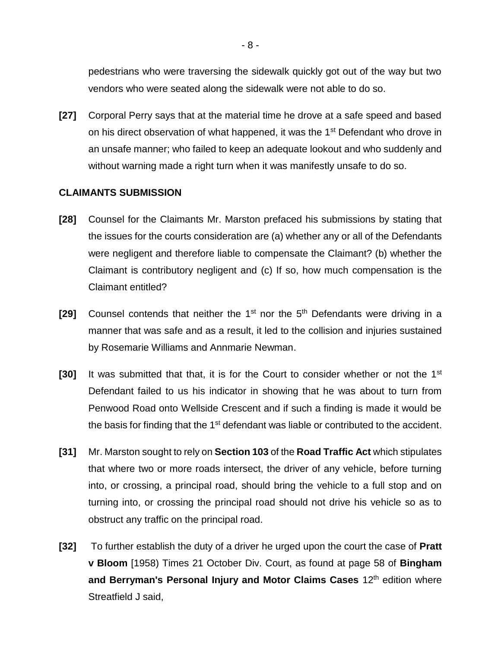pedestrians who were traversing the sidewalk quickly got out of the way but two vendors who were seated along the sidewalk were not able to do so.

**[27]** Corporal Perry says that at the material time he drove at a safe speed and based on his direct observation of what happened, it was the 1<sup>st</sup> Defendant who drove in an unsafe manner; who failed to keep an adequate lookout and who suddenly and without warning made a right turn when it was manifestly unsafe to do so.

### **CLAIMANTS SUBMISSION**

- **[28]** Counsel for the Claimants Mr. Marston prefaced his submissions by stating that the issues for the courts consideration are (a) whether any or all of the Defendants were negligent and therefore liable to compensate the Claimant? (b) whether the Claimant is contributory negligent and (c) If so, how much compensation is the Claimant entitled?
- [29] Counsel contends that neither the 1<sup>st</sup> nor the 5<sup>th</sup> Defendants were driving in a manner that was safe and as a result, it led to the collision and injuries sustained by Rosemarie Williams and Annmarie Newman.
- **[30]** It was submitted that that, it is for the Court to consider whether or not the 1st Defendant failed to us his indicator in showing that he was about to turn from Penwood Road onto Wellside Crescent and if such a finding is made it would be the basis for finding that the 1<sup>st</sup> defendant was liable or contributed to the accident.
- **[31]** Mr. Marston sought to rely on **Section 103** of the **Road Traffic Act** which stipulates that where two or more roads intersect, the driver of any vehicle, before turning into, or crossing, a principal road, should bring the vehicle to a full stop and on turning into, or crossing the principal road should not drive his vehicle so as to obstruct any traffic on the principal road.
- **[32]** To further establish the duty of a driver he urged upon the court the case of **Pratt v Bloom** [1958) Times 21 October Div. Court, as found at page 58 of **Bingham** and Berryman's Personal Injury and Motor Claims Cases 12<sup>th</sup> edition where Streatfield J said,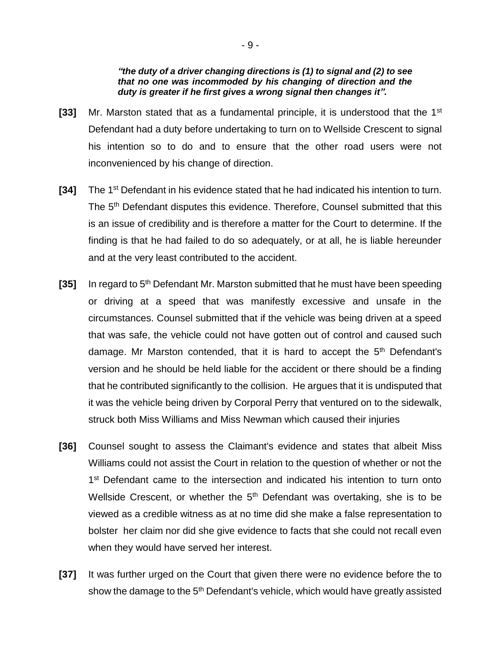#### *"the duty of a driver changing directions is (1) to signal and (2) to see that no one was incommoded by his changing of direction and the duty is greater if he first gives a wrong signal then changes it".*

- **[33]** Mr. Marston stated that as a fundamental principle, it is understood that the 1<sup>st</sup> Defendant had a duty before undertaking to turn on to Wellside Crescent to signal his intention so to do and to ensure that the other road users were not inconvenienced by his change of direction.
- **[34]** The 1st Defendant in his evidence stated that he had indicated his intention to turn. The 5<sup>th</sup> Defendant disputes this evidence. Therefore, Counsel submitted that this is an issue of credibility and is therefore a matter for the Court to determine. If the finding is that he had failed to do so adequately, or at all, he is liable hereunder and at the very least contributed to the accident.
- [35] In regard to 5<sup>th</sup> Defendant Mr. Marston submitted that he must have been speeding or driving at a speed that was manifestly excessive and unsafe in the circumstances. Counsel submitted that if the vehicle was being driven at a speed that was safe, the vehicle could not have gotten out of control and caused such damage. Mr Marston contended, that it is hard to accept the  $5<sup>th</sup>$  Defendant's version and he should be held liable for the accident or there should be a finding that he contributed significantly to the collision. He argues that it is undisputed that it was the vehicle being driven by Corporal Perry that ventured on to the sidewalk, struck both Miss Williams and Miss Newman which caused their injuries
- **[36]** Counsel sought to assess the Claimant's evidence and states that albeit Miss Williams could not assist the Court in relation to the question of whether or not the 1<sup>st</sup> Defendant came to the intersection and indicated his intention to turn onto Wellside Crescent, or whether the  $5<sup>th</sup>$  Defendant was overtaking, she is to be viewed as a credible witness as at no time did she make a false representation to bolster her claim nor did she give evidence to facts that she could not recall even when they would have served her interest.
- **[37]** It was further urged on the Court that given there were no evidence before the to show the damage to the 5<sup>th</sup> Defendant's vehicle, which would have greatly assisted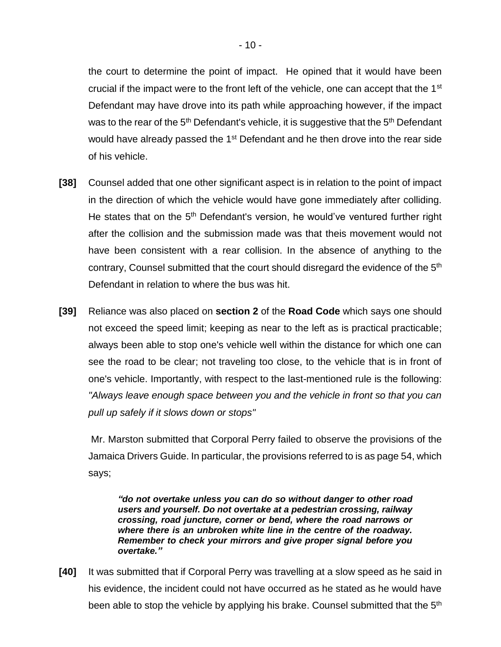the court to determine the point of impact. He opined that it would have been crucial if the impact were to the front left of the vehicle, one can accept that the 1<sup>st</sup> Defendant may have drove into its path while approaching however, if the impact was to the rear of the  $5<sup>th</sup>$  Defendant's vehicle, it is suggestive that the  $5<sup>th</sup>$  Defendant would have already passed the 1<sup>st</sup> Defendant and he then drove into the rear side of his vehicle.

- **[38]** Counsel added that one other significant aspect is in relation to the point of impact in the direction of which the vehicle would have gone immediately after colliding. He states that on the 5<sup>th</sup> Defendant's version, he would've ventured further right after the collision and the submission made was that theis movement would not have been consistent with a rear collision. In the absence of anything to the contrary, Counsel submitted that the court should disregard the evidence of the 5th Defendant in relation to where the bus was hit.
- **[39]** Reliance was also placed on **section 2** of the **Road Code** which says one should not exceed the speed limit; keeping as near to the left as is practical practicable; always been able to stop one's vehicle well within the distance for which one can see the road to be clear; not traveling too close, to the vehicle that is in front of one's vehicle. Importantly, with respect to the last-mentioned rule is the following: *"Always leave enough space between you and the vehicle in front so that you can pull up safely if it slows down or stops"*

Mr. Marston submitted that Corporal Perry failed to observe the provisions of the Jamaica Drivers Guide. In particular, the provisions referred to is as page 54, which says;

*"do not overtake unless you can do so without danger to other road users and yourself. Do not overtake at a pedestrian crossing, railway crossing, road juncture, corner or bend, where the road narrows or where there is an unbroken white line in the centre of the roadway. Remember to check your mirrors and give proper signal before you overtake."*

**[40]** It was submitted that if Corporal Perry was travelling at a slow speed as he said in his evidence, the incident could not have occurred as he stated as he would have been able to stop the vehicle by applying his brake. Counsel submitted that the 5<sup>th</sup>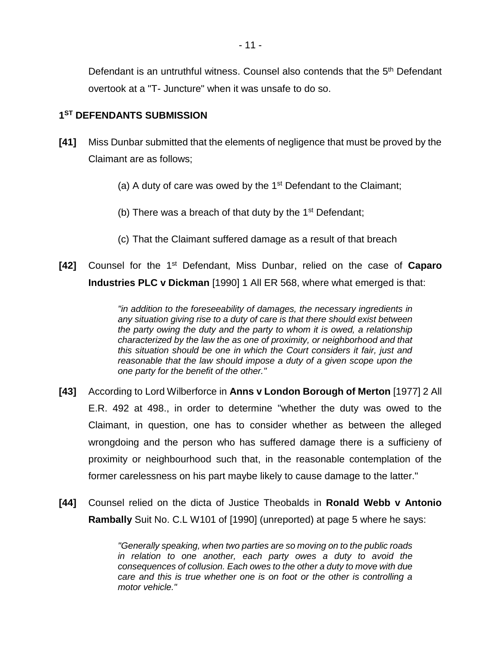Defendant is an untruthful witness. Counsel also contends that the 5<sup>th</sup> Defendant overtook at a "T- Juncture" when it was unsafe to do so.

# **1 ST DEFENDANTS SUBMISSION**

- **[41]** Miss Dunbar submitted that the elements of negligence that must be proved by the Claimant are as follows;
	- (a) A duty of care was owed by the  $1<sup>st</sup>$  Defendant to the Claimant;
	- (b) There was a breach of that duty by the  $1<sup>st</sup>$  Defendant;
	- (c) That the Claimant suffered damage as a result of that breach
- **[42]** Counsel for the 1st Defendant, Miss Dunbar, relied on the case of **Caparo Industries PLC v Dickman** [1990] 1 All ER 568, where what emerged is that:

*"in addition to the foreseeability of damages, the necessary ingredients in any situation giving rise to a duty of care is that there should exist between the party owing the duty and the party to whom it is owed, a relationship characterized by the law the as one of proximity, or neighborhood and that this situation should be one in which the Court considers it fair, just and reasonable that the law should impose a duty of a given scope upon the one party for the benefit of the other."*

- **[43]** According to Lord Wilberforce in **Anns v London Borough of Merton** [1977] 2 All E.R. 492 at 498., in order to determine "whether the duty was owed to the Claimant, in question, one has to consider whether as between the alleged wrongdoing and the person who has suffered damage there is a sufficieny of proximity or neighbourhood such that, in the reasonable contemplation of the former carelessness on his part maybe likely to cause damage to the latter."
- **[44]** Counsel relied on the dicta of Justice Theobalds in **Ronald Webb v Antonio Rambally** Suit No. C.L W101 of [1990] (unreported) at page 5 where he says:

*"Generally speaking, when two parties are so moving on to the public roads in relation to one another, each party owes a duty to avoid the consequences of collusion. Each owes to the other a duty to move with due care and this is true whether one is on foot or the other is controlling a motor vehicle."*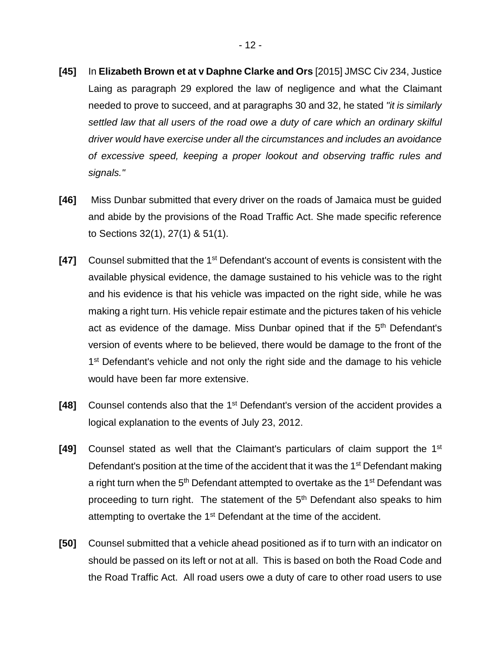- **[45]** In **Elizabeth Brown et at v Daphne Clarke and Ors** [2015] JMSC Civ 234, Justice Laing as paragraph 29 explored the law of negligence and what the Claimant needed to prove to succeed, and at paragraphs 30 and 32, he stated *"it is similarly settled law that all users of the road owe a duty of care which an ordinary skilful driver would have exercise under all the circumstances and includes an avoidance of excessive speed, keeping a proper lookout and observing traffic rules and signals."*
- **[46]** Miss Dunbar submitted that every driver on the roads of Jamaica must be guided and abide by the provisions of the Road Traffic Act. She made specific reference to Sections 32(1), 27(1) & 51(1).
- **[47]** Counsel submitted that the 1<sup>st</sup> Defendant's account of events is consistent with the available physical evidence, the damage sustained to his vehicle was to the right and his evidence is that his vehicle was impacted on the right side, while he was making a right turn. His vehicle repair estimate and the pictures taken of his vehicle act as evidence of the damage. Miss Dunbar opined that if the 5<sup>th</sup> Defendant's version of events where to be believed, there would be damage to the front of the 1<sup>st</sup> Defendant's vehicle and not only the right side and the damage to his vehicle would have been far more extensive.
- [48] Counsel contends also that the 1<sup>st</sup> Defendant's version of the accident provides a logical explanation to the events of July 23, 2012.
- **[49]** Counsel stated as well that the Claimant's particulars of claim support the 1st Defendant's position at the time of the accident that it was the 1<sup>st</sup> Defendant making a right turn when the 5<sup>th</sup> Defendant attempted to overtake as the 1<sup>st</sup> Defendant was proceeding to turn right. The statement of the 5<sup>th</sup> Defendant also speaks to him attempting to overtake the 1<sup>st</sup> Defendant at the time of the accident.
- **[50]** Counsel submitted that a vehicle ahead positioned as if to turn with an indicator on should be passed on its left or not at all. This is based on both the Road Code and the Road Traffic Act. All road users owe a duty of care to other road users to use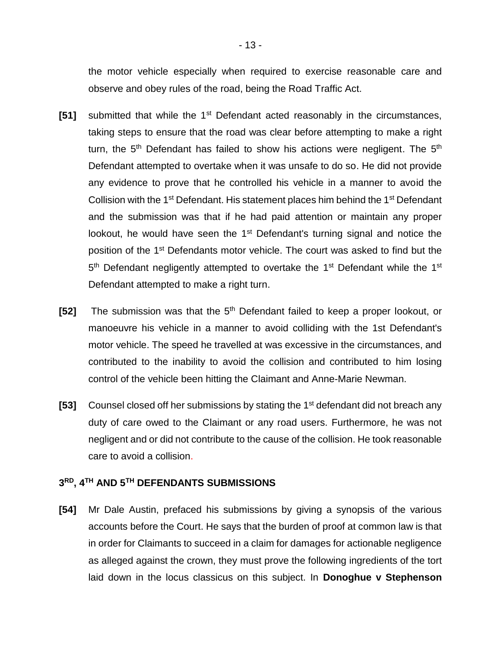the motor vehicle especially when required to exercise reasonable care and observe and obey rules of the road, being the Road Traffic Act.

- **[51]** submitted that while the 1<sup>st</sup> Defendant acted reasonably in the circumstances, taking steps to ensure that the road was clear before attempting to make a right turn, the 5<sup>th</sup> Defendant has failed to show his actions were negligent. The 5<sup>th</sup> Defendant attempted to overtake when it was unsafe to do so. He did not provide any evidence to prove that he controlled his vehicle in a manner to avoid the Collision with the 1<sup>st</sup> Defendant. His statement places him behind the 1<sup>st</sup> Defendant and the submission was that if he had paid attention or maintain any proper lookout, he would have seen the 1<sup>st</sup> Defendant's turning signal and notice the position of the 1<sup>st</sup> Defendants motor vehicle. The court was asked to find but the 5<sup>th</sup> Defendant negligently attempted to overtake the 1<sup>st</sup> Defendant while the 1<sup>st</sup> Defendant attempted to make a right turn.
- [52] The submission was that the 5<sup>th</sup> Defendant failed to keep a proper lookout, or manoeuvre his vehicle in a manner to avoid colliding with the 1st Defendant's motor vehicle. The speed he travelled at was excessive in the circumstances, and contributed to the inability to avoid the collision and contributed to him losing control of the vehicle been hitting the Claimant and Anne-Marie Newman.
- **[53]** Counsel closed off her submissions by stating the 1<sup>st</sup> defendant did not breach any duty of care owed to the Claimant or any road users. Furthermore, he was not negligent and or did not contribute to the cause of the collision. He took reasonable care to avoid a collision.

# **3 RD, 4TH AND 5TH DEFENDANTS SUBMISSIONS**

**[54]** Mr Dale Austin, prefaced his submissions by giving a synopsis of the various accounts before the Court. He says that the burden of proof at common law is that in order for Claimants to succeed in a claim for damages for actionable negligence as alleged against the crown, they must prove the following ingredients of the tort laid down in the locus classicus on this subject. In **Donoghue v Stephenson**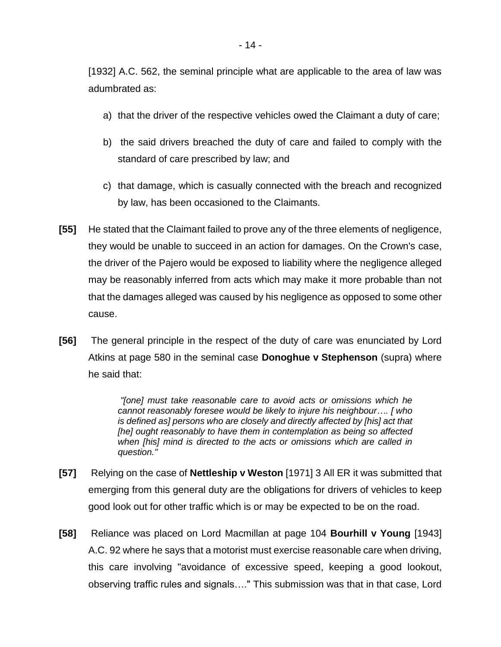[1932] A.C. 562, the seminal principle what are applicable to the area of law was adumbrated as:

- a) that the driver of the respective vehicles owed the Claimant a duty of care;
- b) the said drivers breached the duty of care and failed to comply with the standard of care prescribed by law; and
- c) that damage, which is casually connected with the breach and recognized by law, has been occasioned to the Claimants.
- **[55]** He stated that the Claimant failed to prove any of the three elements of negligence, they would be unable to succeed in an action for damages. On the Crown's case, the driver of the Pajero would be exposed to liability where the negligence alleged may be reasonably inferred from acts which may make it more probable than not that the damages alleged was caused by his negligence as opposed to some other cause.
- **[56]** The general principle in the respect of the duty of care was enunciated by Lord Atkins at page 580 in the seminal case **Donoghue v Stephenson** (supra) where he said that:

*"[one] must take reasonable care to avoid acts or omissions which he cannot reasonably foresee would be likely to injure his neighbour…. [ who is defined as] persons who are closely and directly affected by [his] act that [he] ought reasonably to have them in contemplation as being so affected when [his] mind is directed to the acts or omissions which are called in question."*

- **[57]** Relying on the case of **Nettleship v Weston** [1971] 3 All ER it was submitted that emerging from this general duty are the obligations for drivers of vehicles to keep good look out for other traffic which is or may be expected to be on the road.
- **[58]** Reliance was placed on Lord Macmillan at page 104 **Bourhill v Young** [1943] A.C. 92 where he says that a motorist must exercise reasonable care when driving, this care involving "avoidance of excessive speed, keeping a good lookout, observing traffic rules and signals…." This submission was that in that case, Lord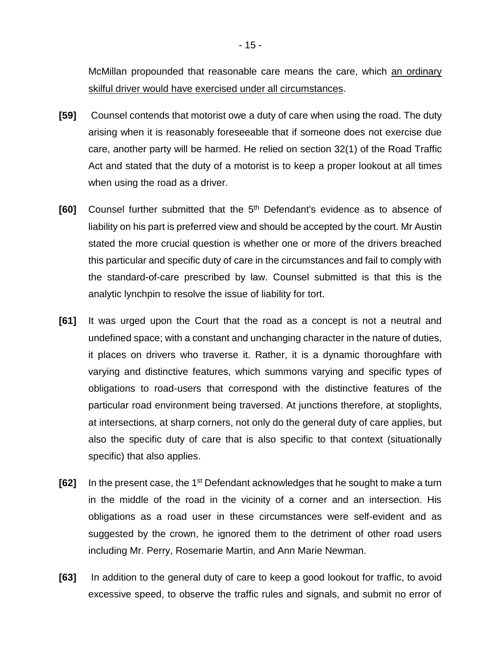McMillan propounded that reasonable care means the care, which an ordinary skilful driver would have exercised under all circumstances.

- **[59]** Counsel contends that motorist owe a duty of care when using the road. The duty arising when it is reasonably foreseeable that if someone does not exercise due care, another party will be harmed. He relied on section 32(1) of the Road Traffic Act and stated that the duty of a motorist is to keep a proper lookout at all times when using the road as a driver.
- **[60]** Counsel further submitted that the 5<sup>th</sup> Defendant's evidence as to absence of liability on his part is preferred view and should be accepted by the court. Mr Austin stated the more crucial question is whether one or more of the drivers breached this particular and specific duty of care in the circumstances and fail to comply with the standard-of-care prescribed by law. Counsel submitted is that this is the analytic lynchpin to resolve the issue of liability for tort.
- **[61]** It was urged upon the Court that the road as a concept is not a neutral and undefined space; with a constant and unchanging character in the nature of duties, it places on drivers who traverse it. Rather, it is a dynamic thoroughfare with varying and distinctive features, which summons varying and specific types of obligations to road-users that correspond with the distinctive features of the particular road environment being traversed. At junctions therefore, at stoplights, at intersections, at sharp corners, not only do the general duty of care applies, but also the specific duty of care that is also specific to that context (situationally specific) that also applies.
- **[62]** In the present case, the 1<sup>st</sup> Defendant acknowledges that he sought to make a turn in the middle of the road in the vicinity of a corner and an intersection. His obligations as a road user in these circumstances were self-evident and as suggested by the crown, he ignored them to the detriment of other road users including Mr. Perry, Rosemarie Martin, and Ann Marie Newman.
- **[63]** In addition to the general duty of care to keep a good lookout for traffic, to avoid excessive speed, to observe the traffic rules and signals, and submit no error of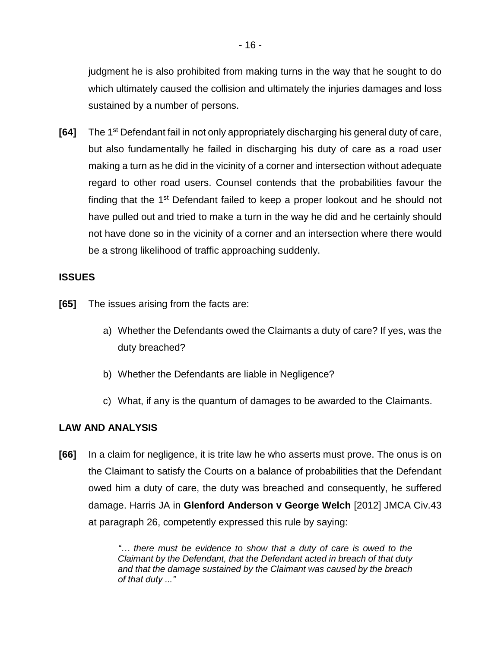judgment he is also prohibited from making turns in the way that he sought to do which ultimately caused the collision and ultimately the injuries damages and loss sustained by a number of persons.

**[64]** The 1st Defendant fail in not only appropriately discharging his general duty of care, but also fundamentally he failed in discharging his duty of care as a road user making a turn as he did in the vicinity of a corner and intersection without adequate regard to other road users. Counsel contends that the probabilities favour the finding that the 1<sup>st</sup> Defendant failed to keep a proper lookout and he should not have pulled out and tried to make a turn in the way he did and he certainly should not have done so in the vicinity of a corner and an intersection where there would be a strong likelihood of traffic approaching suddenly.

### **ISSUES**

- **[65]** The issues arising from the facts are:
	- a) Whether the Defendants owed the Claimants a duty of care? If yes, was the duty breached?
	- b) Whether the Defendants are liable in Negligence?
	- c) What, if any is the quantum of damages to be awarded to the Claimants.

#### **LAW AND ANALYSIS**

**[66]** In a claim for negligence, it is trite law he who asserts must prove. The onus is on the Claimant to satisfy the Courts on a balance of probabilities that the Defendant owed him a duty of care, the duty was breached and consequently, he suffered damage. Harris JA in **Glenford Anderson v George Welch** [2012] JMCA Civ.43 at paragraph 26, competently expressed this rule by saying:

> *"… there must be evidence to show that a duty of care is owed to the Claimant by the Defendant, that the Defendant acted in breach of that duty and that the damage sustained by the Claimant was caused by the breach of that duty ..."*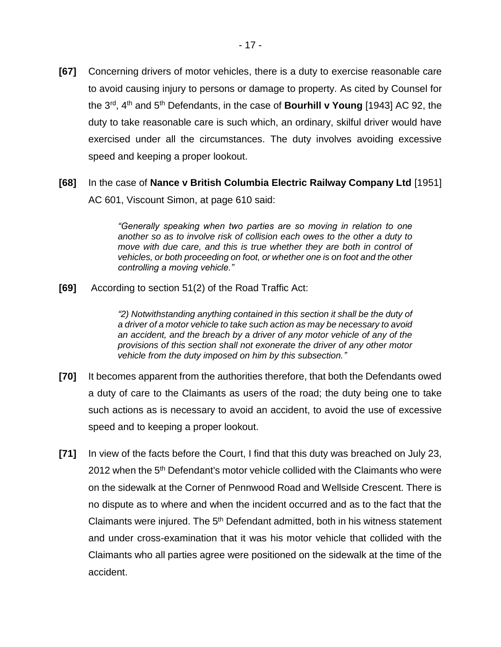- **[67]** Concerning drivers of motor vehicles, there is a duty to exercise reasonable care to avoid causing injury to persons or damage to property. As cited by Counsel for the 3rd, 4th and 5th Defendants, in the case of **Bourhill v Young** [1943] AC 92, the duty to take reasonable care is such which, an ordinary, skilful driver would have exercised under all the circumstances. The duty involves avoiding excessive speed and keeping a proper lookout.
- **[68]** In the case of **Nance v British Columbia Electric Railway Company Ltd** [1951] AC 601, Viscount Simon, at page 610 said:

*"Generally speaking when two parties are so moving in relation to one another so as to involve risk of collision each owes to the other a duty to move with due care, and this is true whether they are both in control of vehicles, or both proceeding on foot, or whether one is on foot and the other controlling a moving vehicle."* 

**[69]** According to section 51(2) of the Road Traffic Act:

*"2) Notwithstanding anything contained in this section it shall be the duty of a driver of a motor vehicle to take such action as may be necessary to avoid an accident, and the breach by a driver of any motor vehicle of any of the provisions of this section shall not exonerate the driver of any other motor vehicle from the duty imposed on him by this subsection."*

- **[70]** It becomes apparent from the authorities therefore, that both the Defendants owed a duty of care to the Claimants as users of the road; the duty being one to take such actions as is necessary to avoid an accident, to avoid the use of excessive speed and to keeping a proper lookout.
- **[71]** In view of the facts before the Court, I find that this duty was breached on July 23, 2012 when the 5<sup>th</sup> Defendant's motor vehicle collided with the Claimants who were on the sidewalk at the Corner of Pennwood Road and Wellside Crescent. There is no dispute as to where and when the incident occurred and as to the fact that the Claimants were injured. The  $5<sup>th</sup>$  Defendant admitted, both in his witness statement and under cross-examination that it was his motor vehicle that collided with the Claimants who all parties agree were positioned on the sidewalk at the time of the accident.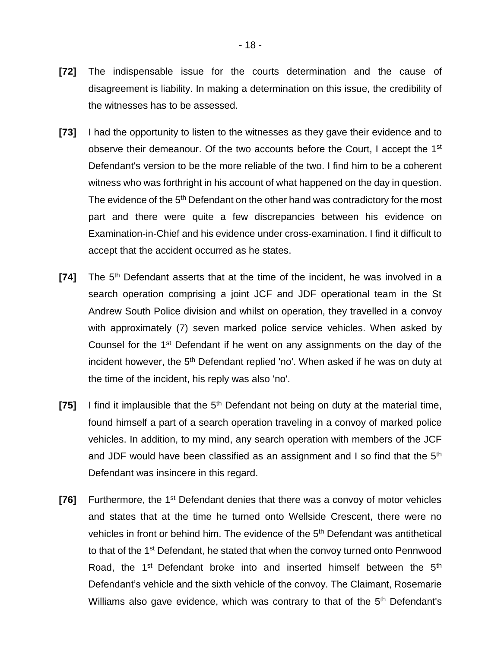- **[72]** The indispensable issue for the courts determination and the cause of disagreement is liability. In making a determination on this issue, the credibility of the witnesses has to be assessed.
- **[73]** I had the opportunity to listen to the witnesses as they gave their evidence and to observe their demeanour. Of the two accounts before the Court, I accept the 1st Defendant's version to be the more reliable of the two. I find him to be a coherent witness who was forthright in his account of what happened on the day in question. The evidence of the 5<sup>th</sup> Defendant on the other hand was contradictory for the most part and there were quite a few discrepancies between his evidence on Examination-in-Chief and his evidence under cross-examination. I find it difficult to accept that the accident occurred as he states.
- **[74]** The 5th Defendant asserts that at the time of the incident, he was involved in a search operation comprising a joint JCF and JDF operational team in the St Andrew South Police division and whilst on operation, they travelled in a convoy with approximately (7) seven marked police service vehicles. When asked by Counsel for the 1st Defendant if he went on any assignments on the day of the incident however, the 5<sup>th</sup> Defendant replied 'no'. When asked if he was on duty at the time of the incident, his reply was also 'no'.
- **[75]** I find it implausible that the 5<sup>th</sup> Defendant not being on duty at the material time, found himself a part of a search operation traveling in a convoy of marked police vehicles. In addition, to my mind, any search operation with members of the JCF and JDF would have been classified as an assignment and I so find that the 5<sup>th</sup> Defendant was insincere in this regard.
- **[76]** Furthermore, the 1<sup>st</sup> Defendant denies that there was a convoy of motor vehicles and states that at the time he turned onto Wellside Crescent, there were no vehicles in front or behind him. The evidence of the 5<sup>th</sup> Defendant was antithetical to that of the 1<sup>st</sup> Defendant, he stated that when the convoy turned onto Pennwood Road, the 1<sup>st</sup> Defendant broke into and inserted himself between the 5<sup>th</sup> Defendant's vehicle and the sixth vehicle of the convoy. The Claimant, Rosemarie Williams also gave evidence, which was contrary to that of the 5<sup>th</sup> Defendant's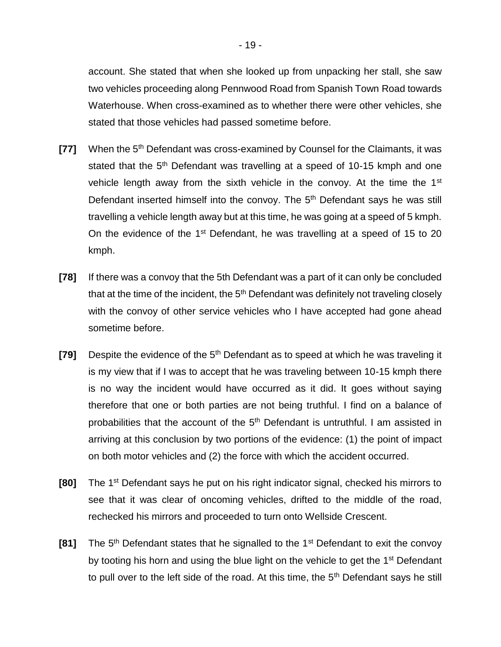account. She stated that when she looked up from unpacking her stall, she saw two vehicles proceeding along Pennwood Road from Spanish Town Road towards Waterhouse. When cross-examined as to whether there were other vehicles, she stated that those vehicles had passed sometime before.

- **[77]** When the 5<sup>th</sup> Defendant was cross-examined by Counsel for the Claimants, it was stated that the 5<sup>th</sup> Defendant was travelling at a speed of 10-15 kmph and one vehicle length away from the sixth vehicle in the convoy. At the time the 1<sup>st</sup> Defendant inserted himself into the convoy. The 5<sup>th</sup> Defendant says he was still travelling a vehicle length away but at this time, he was going at a speed of 5 kmph. On the evidence of the  $1<sup>st</sup>$  Defendant, he was travelling at a speed of 15 to 20 kmph.
- **[78]** If there was a convoy that the 5th Defendant was a part of it can only be concluded that at the time of the incident, the 5<sup>th</sup> Defendant was definitely not traveling closely with the convoy of other service vehicles who I have accepted had gone ahead sometime before.
- **[79]** Despite the evidence of the 5<sup>th</sup> Defendant as to speed at which he was traveling it is my view that if I was to accept that he was traveling between 10-15 kmph there is no way the incident would have occurred as it did. It goes without saying therefore that one or both parties are not being truthful. I find on a balance of probabilities that the account of the  $5<sup>th</sup>$  Defendant is untruthful. I am assisted in arriving at this conclusion by two portions of the evidence: (1) the point of impact on both motor vehicles and (2) the force with which the accident occurred.
- **[80]** The 1st Defendant says he put on his right indicator signal, checked his mirrors to see that it was clear of oncoming vehicles, drifted to the middle of the road, rechecked his mirrors and proceeded to turn onto Wellside Crescent.
- **[81]** The 5<sup>th</sup> Defendant states that he signalled to the 1<sup>st</sup> Defendant to exit the convoy by tooting his horn and using the blue light on the vehicle to get the 1<sup>st</sup> Defendant to pull over to the left side of the road. At this time, the  $5<sup>th</sup>$  Defendant says he still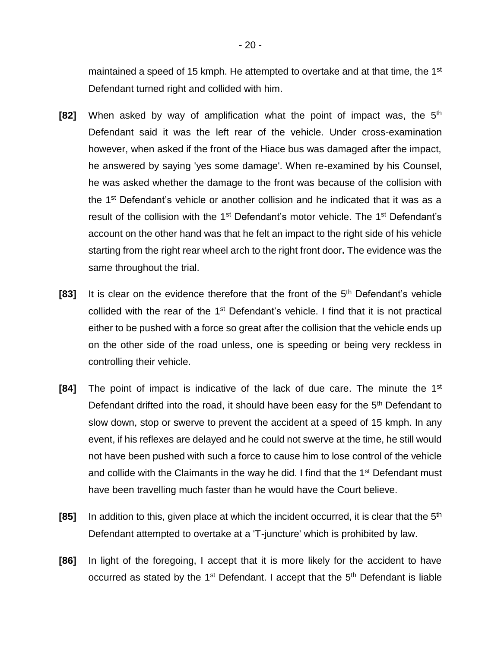maintained a speed of 15 kmph. He attempted to overtake and at that time, the 1<sup>st</sup> Defendant turned right and collided with him.

- **[82]** When asked by way of amplification what the point of impact was, the 5th Defendant said it was the left rear of the vehicle. Under cross-examination however, when asked if the front of the Hiace bus was damaged after the impact, he answered by saying 'yes some damage'. When re-examined by his Counsel, he was asked whether the damage to the front was because of the collision with the 1<sup>st</sup> Defendant's vehicle or another collision and he indicated that it was as a result of the collision with the 1<sup>st</sup> Defendant's motor vehicle. The 1<sup>st</sup> Defendant's account on the other hand was that he felt an impact to the right side of his vehicle starting from the right rear wheel arch to the right front door**.** The evidence was the same throughout the trial.
- **[83]** It is clear on the evidence therefore that the front of the 5th Defendant's vehicle collided with the rear of the  $1<sup>st</sup>$  Defendant's vehicle. I find that it is not practical either to be pushed with a force so great after the collision that the vehicle ends up on the other side of the road unless, one is speeding or being very reckless in controlling their vehicle.
- **[84]** The point of impact is indicative of the lack of due care. The minute the 1<sup>st</sup> Defendant drifted into the road, it should have been easy for the 5<sup>th</sup> Defendant to slow down, stop or swerve to prevent the accident at a speed of 15 kmph. In any event, if his reflexes are delayed and he could not swerve at the time, he still would not have been pushed with such a force to cause him to lose control of the vehicle and collide with the Claimants in the way he did. I find that the 1<sup>st</sup> Defendant must have been travelling much faster than he would have the Court believe.
- **[85]** In addition to this, given place at which the incident occurred, it is clear that the 5<sup>th</sup> Defendant attempted to overtake at a 'T-juncture' which is prohibited by law.
- **[86]** In light of the foregoing, I accept that it is more likely for the accident to have occurred as stated by the 1<sup>st</sup> Defendant. I accept that the 5<sup>th</sup> Defendant is liable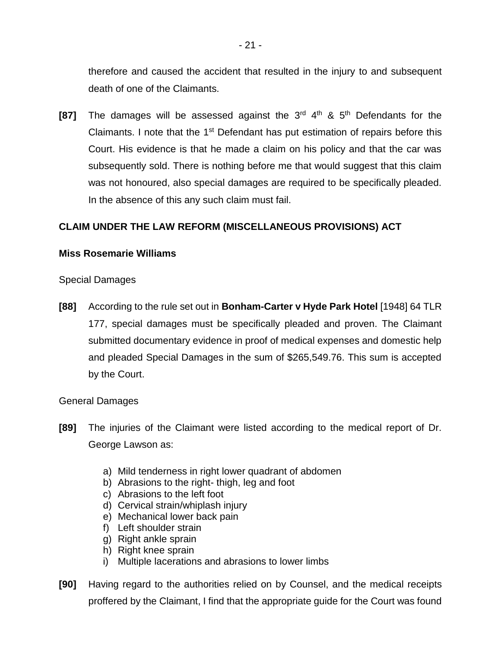therefore and caused the accident that resulted in the injury to and subsequent death of one of the Claimants.

**[87]** The damages will be assessed against the 3<sup>rd</sup> 4<sup>th</sup> & 5<sup>th</sup> Defendants for the Claimants. I note that the  $1<sup>st</sup>$  Defendant has put estimation of repairs before this Court. His evidence is that he made a claim on his policy and that the car was subsequently sold. There is nothing before me that would suggest that this claim was not honoured, also special damages are required to be specifically pleaded. In the absence of this any such claim must fail.

# **CLAIM UNDER THE LAW REFORM (MISCELLANEOUS PROVISIONS) ACT**

# **Miss Rosemarie Williams**

Special Damages

**[88]** According to the rule set out in **Bonham-Carter v Hyde Park Hotel** [1948] 64 TLR 177, special damages must be specifically pleaded and proven. The Claimant submitted documentary evidence in proof of medical expenses and domestic help and pleaded Special Damages in the sum of \$265,549.76. This sum is accepted by the Court.

# General Damages

- **[89]** The injuries of the Claimant were listed according to the medical report of Dr. George Lawson as:
	- a) Mild tenderness in right lower quadrant of abdomen
	- b) Abrasions to the right- thigh, leg and foot
	- c) Abrasions to the left foot
	- d) Cervical strain/whiplash injury
	- e) Mechanical lower back pain
	- f) Left shoulder strain
	- g) Right ankle sprain
	- h) Right knee sprain
	- i) Multiple lacerations and abrasions to lower limbs
- **[90]** Having regard to the authorities relied on by Counsel, and the medical receipts proffered by the Claimant, I find that the appropriate guide for the Court was found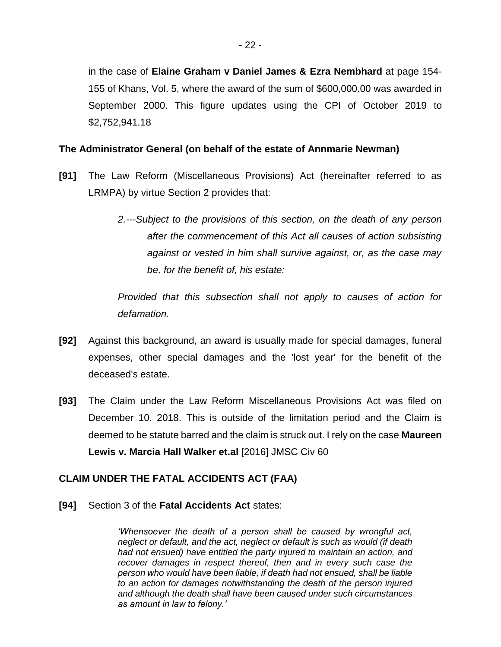in the case of **Elaine Graham v Daniel James & Ezra Nembhard** at page 154- 155 of Khans, Vol. 5, where the award of the sum of \$600,000.00 was awarded in September 2000. This figure updates using the CPI of October 2019 to \$2,752,941.18

### **The Administrator General (on behalf of the estate of Annmarie Newman)**

- **[91]** The Law Reform (Miscellaneous Provisions) Act (hereinafter referred to as LRMPA) by virtue Section 2 provides that:
	- *2.---Subject to the provisions of this section, on the death of any person after the commencement of this Act all causes of action subsisting against or vested in him shall survive against, or, as the case may be, for the benefit of, his estate:*

*Provided that this subsection shall not apply to causes of action for defamation.*

- **[92]** Against this background, an award is usually made for special damages, funeral expenses, other special damages and the 'lost year' for the benefit of the deceased's estate.
- **[93]** The Claim under the Law Reform Miscellaneous Provisions Act was filed on December 10. 2018. This is outside of the limitation period and the Claim is deemed to be statute barred and the claim is struck out. I rely on the case **Maureen Lewis v. Marcia Hall Walker et.al** [2016] JMSC Civ 60

# **CLAIM UNDER THE FATAL ACCIDENTS ACT (FAA)**

**[94]** Section 3 of the **Fatal Accidents Act** states:

*'Whensoever the death of a person shall be caused by wrongful act, neglect or default, and the act, neglect or default is such as would (if death had not ensued) have entitled the party injured to maintain an action, and recover damages in respect thereof, then and in every such case the person who would have been liable, if death had not ensued, shall be liable to an action for damages notwithstanding the death of the person injured and although the death shall have been caused under such circumstances as amount in law to felony.'*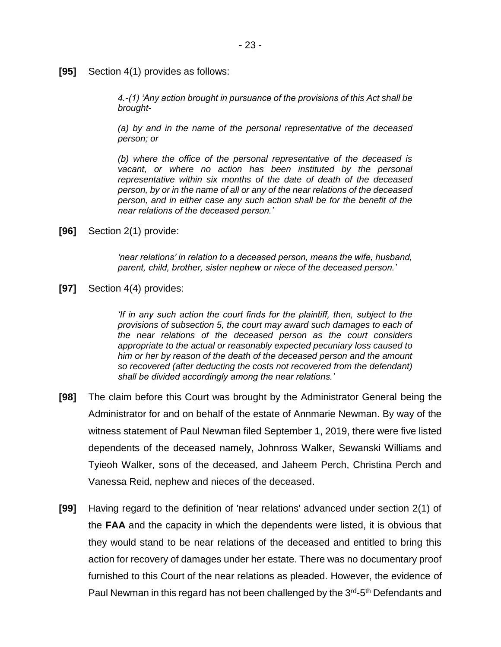**[95]** Section 4(1) provides as follows:

*4.-(1) 'Any action brought in pursuance of the provisions of this Act shall be brought-*

*(a) by and in the name of the personal representative of the deceased person; or*

*(b) where the office of the personal representative of the deceased is*  vacant, or where no action has been instituted by the personal *representative within six months of the date of death of the deceased person, by or in the name of all or any of the near relations of the deceased person, and in either case any such action shall be for the benefit of the near relations of the deceased person.'*

**[96]** Section 2(1) provide:

*'near relations' in relation to a deceased person, means the wife, husband, parent, child, brother, sister nephew or niece of the deceased person.'*

**[97]** Section 4(4) provides:

*'If in any such action the court finds for the plaintiff, then, subject to the provisions of subsection 5, the court may award such damages to each of the near relations of the deceased person as the court considers appropriate to the actual or reasonably expected pecuniary loss caused to him or her by reason of the death of the deceased person and the amount so recovered (after deducting the costs not recovered from the defendant) shall be divided accordingly among the near relations.'*

- **[98]** The claim before this Court was brought by the Administrator General being the Administrator for and on behalf of the estate of Annmarie Newman. By way of the witness statement of Paul Newman filed September 1, 2019, there were five listed dependents of the deceased namely, Johnross Walker, Sewanski Williams and Tyieoh Walker, sons of the deceased, and Jaheem Perch, Christina Perch and Vanessa Reid, nephew and nieces of the deceased.
- **[99]** Having regard to the definition of 'near relations' advanced under section 2(1) of the **FAA** and the capacity in which the dependents were listed, it is obvious that they would stand to be near relations of the deceased and entitled to bring this action for recovery of damages under her estate. There was no documentary proof furnished to this Court of the near relations as pleaded. However, the evidence of Paul Newman in this regard has not been challenged by the 3<sup>rd</sup>-5<sup>th</sup> Defendants and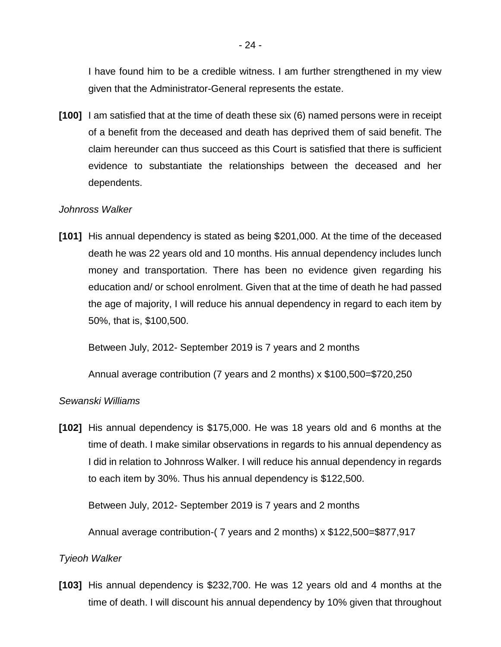I have found him to be a credible witness. I am further strengthened in my view given that the Administrator-General represents the estate.

**[100]** I am satisfied that at the time of death these six (6) named persons were in receipt of a benefit from the deceased and death has deprived them of said benefit. The claim hereunder can thus succeed as this Court is satisfied that there is sufficient evidence to substantiate the relationships between the deceased and her dependents.

### *Johnross Walker*

**[101]** His annual dependency is stated as being \$201,000. At the time of the deceased death he was 22 years old and 10 months. His annual dependency includes lunch money and transportation. There has been no evidence given regarding his education and/ or school enrolment. Given that at the time of death he had passed the age of majority, I will reduce his annual dependency in regard to each item by 50%, that is, \$100,500.

Between July, 2012- September 2019 is 7 years and 2 months

Annual average contribution (7 years and 2 months) x \$100,500=\$720,250

### *Sewanski Williams*

**[102]** His annual dependency is \$175,000. He was 18 years old and 6 months at the time of death. I make similar observations in regards to his annual dependency as I did in relation to Johnross Walker. I will reduce his annual dependency in regards to each item by 30%. Thus his annual dependency is \$122,500.

Between July, 2012- September 2019 is 7 years and 2 months

Annual average contribution-( 7 years and 2 months) x \$122,500=\$877,917

#### *Tyieoh Walker*

**[103]** His annual dependency is \$232,700. He was 12 years old and 4 months at the time of death. I will discount his annual dependency by 10% given that throughout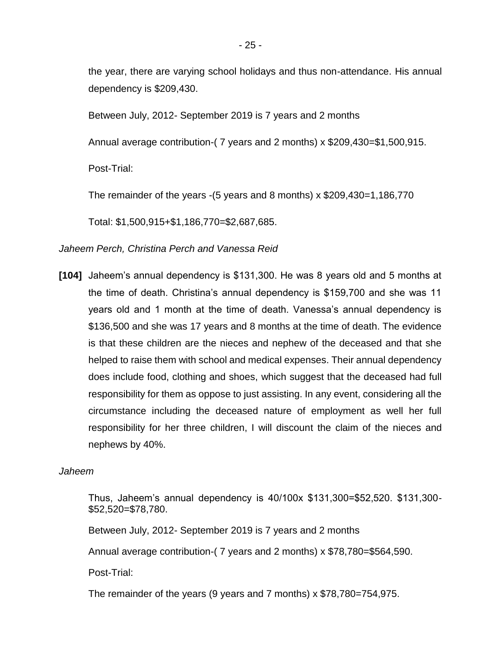the year, there are varying school holidays and thus non-attendance. His annual dependency is \$209,430.

Between July, 2012- September 2019 is 7 years and 2 months

Annual average contribution-( 7 years and 2 months) x \$209,430=\$1,500,915.

Post-Trial:

The remainder of the years -(5 years and 8 months) x \$209,430=1,186,770

Total: \$1,500,915+\$1,186,770=\$2,687,685.

### *Jaheem Perch, Christina Perch and Vanessa Reid*

**[104]** Jaheem's annual dependency is \$131,300. He was 8 years old and 5 months at the time of death. Christina's annual dependency is \$159,700 and she was 11 years old and 1 month at the time of death. Vanessa's annual dependency is \$136,500 and she was 17 years and 8 months at the time of death. The evidence is that these children are the nieces and nephew of the deceased and that she helped to raise them with school and medical expenses. Their annual dependency does include food, clothing and shoes, which suggest that the deceased had full responsibility for them as oppose to just assisting. In any event, considering all the circumstance including the deceased nature of employment as well her full responsibility for her three children, I will discount the claim of the nieces and nephews by 40%.

#### *Jaheem*

Thus, Jaheem's annual dependency is 40/100x \$131,300=\$52,520. \$131,300- \$52,520=\$78,780.

Between July, 2012- September 2019 is 7 years and 2 months

Annual average contribution-( 7 years and 2 months) x \$78,780=\$564,590.

Post-Trial:

The remainder of the years (9 years and 7 months) x \$78,780=754,975.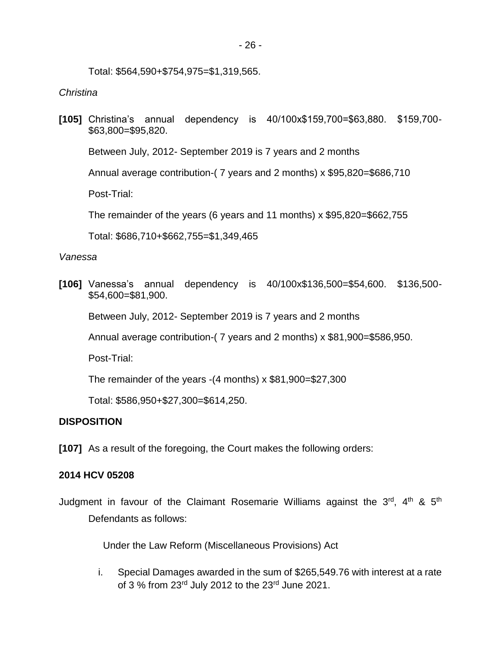Total: \$564,590+\$754,975=\$1,319,565.

### *Christina*

**[105]** Christina's annual dependency is 40/100x\$159,700=\$63,880. \$159,700- \$63,800=\$95,820.

Between July, 2012- September 2019 is 7 years and 2 months

Annual average contribution-( 7 years and 2 months) x \$95,820=\$686,710

Post-Trial:

The remainder of the years (6 years and 11 months) x \$95,820=\$662,755

Total: \$686,710+\$662,755=\$1,349,465

#### *Vanessa*

**[106]** Vanessa's annual dependency is 40/100x\$136,500=\$54,600. \$136,500- \$54,600=\$81,900.

Between July, 2012- September 2019 is 7 years and 2 months

Annual average contribution-( 7 years and 2 months) x \$81,900=\$586,950.

Post-Trial:

The remainder of the years -(4 months) x \$81,900=\$27,300

Total: \$586,950+\$27,300=\$614,250.

# **DISPOSITION**

**[107]** As a result of the foregoing, the Court makes the following orders:

#### **2014 HCV 05208**

Judgment in favour of the Claimant Rosemarie Williams against the 3<sup>rd</sup>, 4<sup>th</sup> & 5<sup>th</sup> Defendants as follows:

Under the Law Reform (Miscellaneous Provisions) Act

i. Special Damages awarded in the sum of \$265,549.76 with interest at a rate of 3 % from 23<sup>rd</sup> July 2012 to the 23<sup>rd</sup> June 2021.